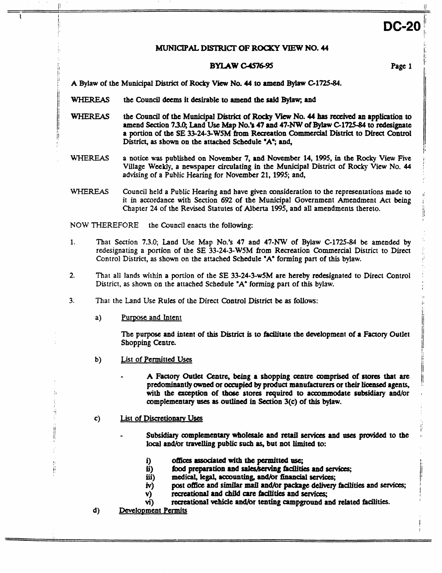## **MUNICIPAL DISTRICT OF ROCKY VIEW NO. 44**

# **BYLAW** *CIS1695* Page **1**

**A Bylaw** of **the** Municipal **Disuict** of **Rocky** *Vi* **No. 44** *to* **amend** *Bylaw* **C1725-84.** 

**WHEREAS** the Council deems it desirable to amend the said Bylaw; and

- WHEREAS the Council of the Municipal District of Rocky View No. 44 has received an application to amend **Section 73.0;** Land **Use Map No.'s 47 and 47-NW of** *Bylaw* **Cl725-84 to** redesignate **a portion** of **the SE 33-24-3-W5M &om Raaation Commercial** District **to Direct Control District, as sbown on the** attached Schedule **'A'; and,**
- WHEREAS **a notice was** published **on** November **7, and** November **14, 1995, in the Rocky** View Five Village **Weekly, a** newspaper circulating in **the** Municipal **District** *of* **Rocky** View No. **<sup>44</sup>** advising of **a** Public **Hearing** for **November 21,1995;** and,
- WHEREAS Council held **<sup>a</sup>Public Hearing** and have given amideration to **the** representations made *to*  it in accordance with Section 692 of the Municipal Government Amendment Act being Chapter **24** of the Revised **Statutes** of **Alberta 1995,** and all amendments thereto.

NOW THEREFORE the **Council** enacts the following:

- **1.** That Section **7.3.0;** Land Use Map **No.% 47** and **47-NW** of Bylaw **C-1725-84 be** amended **by**  redesignating a portion of the SE 33-24-3-W5M from Recreation Commercial District to Direct Control District, **as** shown on the attached Schedule **"A"** forming part of **this** bylaw.
- **2.** That all lands **within a** portion of the **SE 33-24-3-w5M** are hereby redesignated to Direct Control District, **as** shown on the attached Schedule "A" forming part of this bylaw.
- **3.** That the **land Use Rules** of the Direct Control District **be as follows:** 
	- a) **Purpose and Intent**

I

t'

'!

Ë

I

I< **<sup>1</sup>**

**The** purpose and intent of *this* **District** is to facilitate the development of **a Factory** Outlet Shopping **Centre.** 

- $b)$ List of Pennitted **Uses** 
	- **A Factory Outlet Centre,** being **a** shopping *centre* **ampriscd** of **stores that** *arc*  predominantly **awned** or occ\rpicd **by** product **manufaauren** or **their Noensed agents,**  witb **the exception** of **those** stores required **to accommodate subidiary** and/or complementary uses as outlined in Section 3(c) of this bylaw.
- c) List of Discretionary Uses
	- **Subsidiary complementary whoIcsafe and** retail **services and** pses **provided to** the **local an@r trawlling public such as,** but not **limited to:** 
		- **o~ccs associotrd** with **the permitted** rrse; i)<br>ii)
		- ii) food preparation and sales/serving facilities and services;
		- **iii) medical, kgal, accounting, and/or financial servicxs;**
		- *iv)*  post office and similar mail and/or package delivery facilities and services;
		- **v)**  *recreational and child care facilities and services;*
		- vi) **recregtional vehicle and/or tenting** campground **and** related **fadlities.**
- d) Development Permits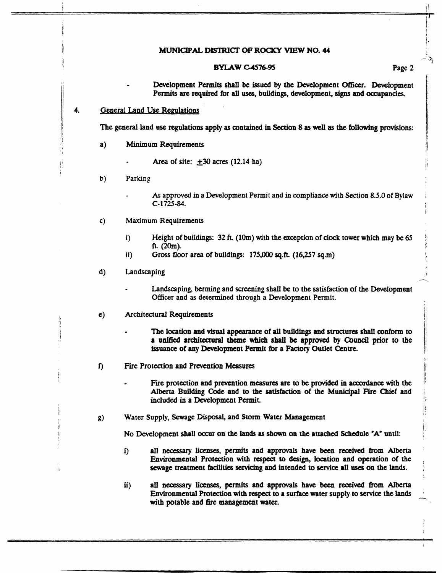## MUNICIPAL **DlSlRICI' OF ROCKY** VIEW **NO. <sup>44</sup>**

#### **BYLAW C-4576-95**

#### Page **2**

 $\frac{1}{2}$  $\mathbf{r}$ 

1 - Development Pennits **shall be issued by the** Development **Offier.** Development Permits **are required** for **all** uses, **building,** development, signs **and** occupancies.

#### **General Land Use Regulations** I I **4.**

j/

I' I1

I!

I1

j!

i

The general land *use* regulations apply **as contained in Section 8 as well as the following** provisions:

- $a)$ **Minimum** Requirements
	- Area of site:  $\pm 30$  acres (12.14 ha)
- $b)$ **Parking** 
	- **As** approved in **a** Development Permit and in compliance **with Section 8.5.0** *of* **Bylaw C-1725-84.**
- **Maximum** Requirements  $\mathbf{c}$ )
	- **i)**  Height of buildings: **32 ft. (lOm)** with the exception of **clock** tower which **may be** *65*  **fL (2Om).**
	- ii) Gross **floor** area of **buildings: 175,000 sq.ft. (16,257 sq.m)**
- $\mathbf{d}$ **Landscaping** 
	- Landscaping, **benning** and screening shail **be** to tbe satisfaction of the Development **Officer** and **as** determined through **a** Development Permit.
- Architectural Requirements  $\mathbf{e})$ 
	- The location **and visual** appearance **of all buildings and st~~cturts shall oonform** *to*  **a unified** *architectural* **theme Whi& shall be approved by Council prior to the issuance** of *any* Development Pennit for **a Factory** Outlet Centre.
- *f)*  **Fire** Protection and **Prevention Measures** 
	- **Fire** protection **and prevention measures arc to be provided** in **acoordanct** with **the Alberta Building Code and** *to the* **satistaction of the Municipal Fie Chief** and included **in a** Development Permit. ,
- **Water Supply, Sewage Disposal,** and **Storm** Water Management  $g)$

**No** Development **shall occur on the Ian& as shown on the attached Schedule #A\* until:** 

- i) **all necessary licenses, permits and approvals have been received from Alberta** Environmental Protection **with** respect **to design, Ioation and operation** of **the**  bewagt treatment **facilities Scrvichg and** intended to **service all uses on** the **lands.**
- **ii) all nezessq licenses, permits** and approvals have **been received from** Alberta **Environmental** Protection **with respect to a suTf8cc water** supply *to* **service the lands**  with potable **and** fire management water.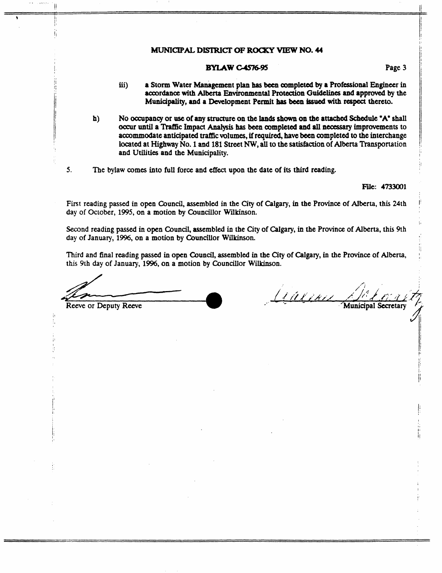# **MUNICIPAL DISTRICT OF ROCKY VIEW NO. 44**

# **BYLAW C-4576-95**

- **iii) a Storm Water Management plan bas been oompleted by a Proftssional Engineer in aooordance with** *Alberta* **Environxnental Protection Guidelines and approved by the Muniapality, and a Devetopment Permit has been** issued **with** respect **thereto.**
- <sup>I</sup>**h) No occupancy or use of** *any* **structure on the lands shown on the attached Schedule "A" shall**  *occur* **until a Thff3c Impact Analysis has been completed and all necessary improvements to accommodate anticipated uaflic volumes, if required, have been oompleted to the interchange** <sup>I</sup> and Utilities and the Municipality.
- *5.* **The bylaw cams into** full **force and effect upon the date of its third reading.**

**Ftle: 4733001** 

**First reading passed** *in* **open Council, assembled in the City of Calgary, in the Province of Alberta, this 24th day of October, 1995, on a motion by Councillor Witkinson.** 

**Second reading passed in open Council, assembled in the City of Calgary,** *in* **the Province of Alberta,** this **9th day of January, 1996, on a motion by Councillor Wilkinson.** 

**Third and mal reading passed in open Council, assembled in the City of Calgary, in the Province of Alberta, this 9th day of January, 1996, on a motion by Councillor Wilkinson.** 

Reeve or Deputy Reeve

j/ jI

 $\parallel$ 

Galimi **Municipal Secretar** 

I

!:

;

!'

I

I, **1:**  ii

I